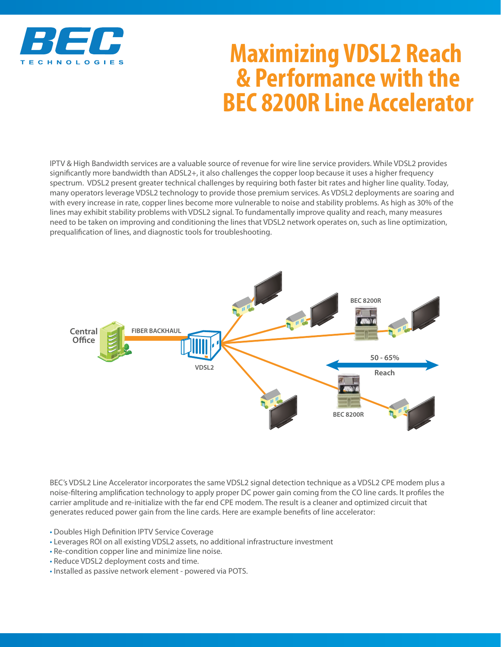

## **Maximizing VDSL2 Reach & Performance with the BEC 8200R Line Accelerator**

IPTV & High Bandwidth services are a valuable source of revenue for wire line service providers. While VDSL2 provides significantly more bandwidth than ADSL2+, it also challenges the copper loop because it uses a higher frequency spectrum. VDSL2 present greater technical challenges by requiring both faster bit rates and higher line quality. Today, many operators leverage VDSL2 technology to provide those premium services. As VDSL2 deployments are soaring and with every increase in rate, copper lines become more vulnerable to noise and stability problems. As high as 30% of the lines may exhibit stability problems with VDSL2 signal. To fundamentally improve quality and reach, many measures need to be taken on improving and conditioning the lines that VDSL2 network operates on, such as line optimization, prequalification of lines, and diagnostic tools for troubleshooting.



BEC's VDSL2 Line Accelerator incorporates the same VDSL2 signal detection technique as a VDSL2 CPE modem plus a noise-filtering amplification technology to apply proper DC power gain coming from the CO line cards. It profiles the carrier amplitude and re-initialize with the far end CPE modem. The result is a cleaner and optimized circuit that generates reduced power gain from the line cards. Here are example benefits of line accelerator:

- Doubles High Definition IPTV Service Coverage
- Leverages ROI on all existing VDSL2 assets, no additional infrastructure investment
- Re-condition copper line and minimize line noise.
- Reduce VDSL2 deployment costs and time.
- Installed as passive network element powered via POTS.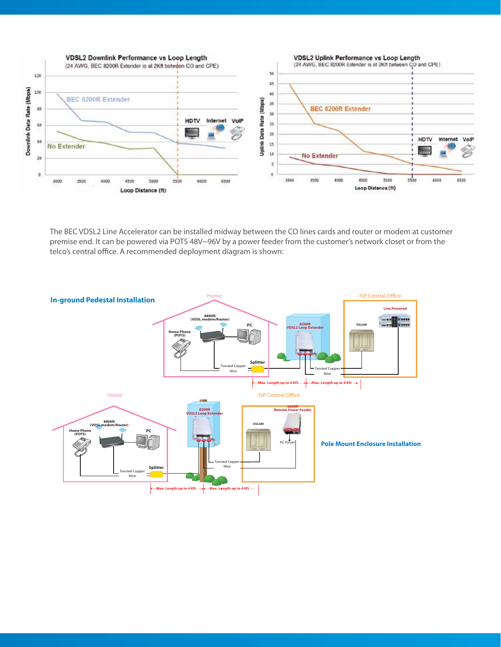

The BEC VDSL2 Line Accelerator can be installed midway between the CO lines cards and router or modem at customer premise end. It can be powered via POTS 48V~96V by a power feeder from the customer's network closet or from the telco's central office. A recommended deployment diagram is shown: